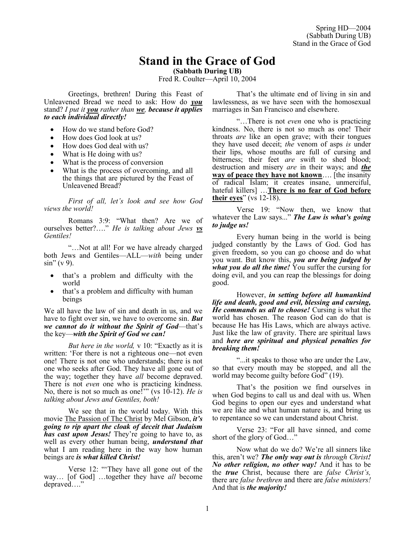# **Stand in the Grace of God**

**(Sabbath During UB)** Fred R. Coulter—April 10, 2004

Greetings, brethren! During this Feast of Unleavened Bread we need to ask: How do *you* stand? *I put it you rather than we, because it applies to each individual directly!*

- How do we stand before God?
- How does God look at us?
- How does God deal with us?
- What is He doing with us?
- What is the process of conversion
- What is the process of overcoming, and all the things that are pictured by the Feast of Unleavened Bread?

*First of all, let's look and see how God views the world!*

Romans 3:9: "What then? Are we of ourselves better?…." *He is talking about Jews vs Gentiles!*

"…Not at all! For we have already charged both Jews and Gentiles—ALL—*with* being under  $\sin$ " (v 9).

- that's a problem and difficulty with the world
- that's a problem and difficulty with human beings

We all have the law of sin and death in us, and we have to fight over sin, we have to overcome sin. *But we cannot do it without the Spirit of God*—that's the key—*with the Spirit of God we can!*

*But here in the world,* v 10: "Exactly as it is written: 'For there is not a righteous one—not even one! There is not one who understands; there is not one who seeks after God. They have all gone out of the way; together they have *all* become depraved. There is not *even* one who is practicing kindness. No, there is not so much as one!'" (vs 10-12). *He is talking about Jews and Gentiles, both!* 

We see that in the world today. With this movie The Passion of The Christ by Mel Gibson, *it's going to rip apart the cloak of deceit that Judaism has cast upon Jesus!* They're going to have to, as well as every other human being, *understand that*  what I am reading here in the way how human beings are *is what killed Christ!*

Verse 12: "'They have all gone out of the way… [of God] …together they have *all* become depraved…."

That's the ultimate end of living in sin and lawlessness, as we have seen with the homosexual marriages in San Francisco and elsewhere.

"…There is not *even* one who is practicing kindness. No, there is not so much as one! Their throats *are* like an open grave; with their tongues they have used deceit; *the* venom of asps *is* under their lips, whose mouths are full of cursing and bitterness; their feet *are* swift to shed blood; destruction and misery *are* in their ways; and *the* **way of peace they have not known**…. [the insanity of radical Islam; it creates insane, unmerciful, hateful killers] …**There is no fear of God before their eyes**" (vs 12-18).

Verse 19: "Now then, we know that whatever the Law says..." *The Law is what's going to judge us!* 

Every human being in the world is being judged constantly by the Laws of God. God has given freedom, so you can go choose and do what you want. But know this, *you are being judged by what you do all the time!* You suffer the cursing for doing evil, and you can reap the blessings for doing good.

However, *in setting before all humankind life and death, good and evil, blessing and cursing, He commands us all to choose!* Cursing is what the world has chosen. The reason God can do that is because He has His Laws, which are always active. Just like the law of gravity. There are spiritual laws and *here are spiritual and physical penalties for breaking them!*

"...it speaks to those who are under the Law, so that every mouth may be stopped, and all the world may become guilty before God" (19).

That's the position we find ourselves in when God begins to call us and deal with us. When God begins to open our eyes and understand what we are like and what human nature is, and bring us to repentance so we can understand about Christ.

Verse 23: "For all have sinned, and come short of the glory of God…"

Now what do we do? We're all sinners like this, aren't we? *The only way out is through Christ! No other religion, no other way!* And it has to be the *true* Christ, because there are *false Christ's,* there are *false brethren* and there are *false ministers!* And that is *the majority!*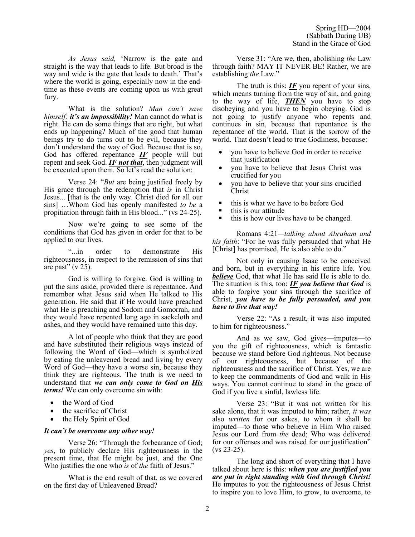*As Jesus said,* 'Narrow is the gate and straight is the way that leads to life. But broad is the way and wide is the gate that leads to death.' That's where the world is going, especially now in the endtime as these events are coming upon us with great fury.

What is the solution? *Man can't save himself; it's an impossibility!* Man cannot do what is right. He can do some things that are right, but what ends up happening? Much of the good that human beings try to do turns out to be evil, because they don't understand the way of God. Because that is so, God has offered repentance *IF* people will but repent and seek God. *IF not that*, then judgment will be executed upon them. So let's read the solution:

Verse 24: "*But* are being justified freely by His grace through the redemption that *is* in Christ Jesus... [that is the only way. Christ died for all our sins] …Whom God has openly manifested *to be* a propitiation through faith in His blood..." (vs 24-25).

Now we're going to see some of the conditions that God has given in order for that to be applied to our lives.

"...in order to demonstrate His righteousness, in respect to the remission of sins that are past"  $(v 25)$ .

God is willing to forgive. God is willing to put the sins aside, provided there is repentance. And remember what Jesus said when He talked to His generation. He said that if He would have preached what He is preaching and Sodom and Gomorrah, and they would have repented long ago in sackcloth and ashes, and they would have remained unto this day.

A lot of people who think that they are good and have substituted their religious ways instead of following the Word of God—which is symbolized by eating the unleavened bread and living by every Word of God—they have a worse sin, because they think they are righteous. The truth is we need to understand that *we can only come to God on His terms!* We can only overcome sin with:

- the Word of God
- the sacrifice of Christ
- the Holy Spirit of God

## *It can't be overcome any other way!*

Verse 26: "Through the forbearance of God; *yes*, to publicly declare His righteousness in the present time, that He might be just, and the One Who justifies the one who *is* of *the* faith of Jesus."

What is the end result of that, as we covered on the first day of Unleavened Bread?

Verse 31: "Are we, then, abolishing *the* Law through faith? MAY IT NEVER BE! Rather, we are establishing *the* Law."

The truth is this:  $IF$  you repent of your sins, which means turning from the way of sin, and going to the way of life, *THEN* you have to stop disobeying and you have to begin obeying. God is not going to justify anyone who repents and continues in sin, because that repentance is the repentance of the world. That is the sorrow of the world. That doesn't lead to true Godliness, because:

- you have to believe God in order to receive that justification
- you have to believe that Jesus Christ was crucified for you
- you have to believe that your sins crucified Christ
- this is what we have to be before God
- this is our attitude
- this is how our lives have to be changed.

Romans 4:21*—talking about Abraham and his faith*: "For he was fully persuaded that what He [Christ] has promised, He is also able to do."

Not only in causing Isaac to be conceived and born, but in everything in his entire life. You *believe* God, that what He has said He is able to do. The situation is this, too: *IF you believe that God* is able to forgive your sins through the sacrifice of Christ, *you have to be fully persuaded, and you have to live that way!* 

Verse 22: "As a result, it was also imputed to him for righteousness."

And as we saw, God gives—imputes—to you the gift of righteousness, which is fantastic because we stand before God righteous. Not because of our righteousness, but because of the righteousness and the sacrifice of Christ. Yes, we are to keep the commandments of God and walk in His ways. You cannot continue to stand in the grace of God if you live a sinful, lawless life.

Verse 23: "But it was not written for his sake alone, that it was imputed to him; rather, *it was* also *written* for our sakes, to whom it shall be imputed—to those who believe in Him Who raised Jesus our Lord from *the* dead; Who was delivered for our offenses and was raised for our justification" (vs 23-25).

The long and short of everything that I have talked about here is this: *when you are justified you are put in right standing with God through Christ!* He imputes to you the righteousness of Jesus Christ to inspire you to love Him, to grow, to overcome, to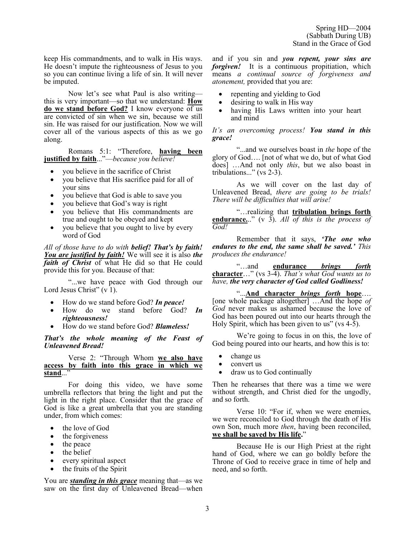keep His commandments, and to walk in His ways. He doesn't impute the righteousness of Jesus to you so you can continue living a life of sin. It will never be imputed.

Now let's see what Paul is also writing this is very important—so that we understand: **How do we stand before God?** I know everyone of us are convicted of sin when we sin, because we still sin. He was raised for our justification. Now we will cover all of the various aspects of this as we go along.

Romans 5:1: "Therefore, **having been justified by faith**..."—*because you believe!*

- you believe in the sacrifice of Christ
- you believe that His sacrifice paid for all of your sins
- you believe that God is able to save you
- you believe that God's way is right
- you believe that His commandments are true and ought to be obeyed and kept
- you believe that you ought to live by every word of God

*All of those have to do with belief! That's by faith! You are justified by faith!* We will see it is also *the faith of Christ* of what He did so that He could provide this for you. Because of that:

"...we have peace with God through our Lord Jesus Christ"  $(v<sup>1</sup>)$ .

- How do we stand before God? *In peace!*
- How do we stand before God? *In righteousness!*
- How do we stand before God? *Blameless!*

*That's the whole meaning of the Feast of Unleavened Bread!* 

## Verse 2: "Through Whom **we also have access by faith into this grace in which we stand**..."

For doing this video, we have some umbrella reflectors that bring the light and put the light in the right place. Consider that the grace of God is like a great umbrella that you are standing under, from which comes:

- the love of God
- the forgiveness
- the peace
- the belief
- every spiritual aspect
- the fruits of the Spirit

You are *standing in this grace* meaning that—as we saw on the first day of Unleavened Bread—when and if you sin and *you repent, your sins are forgiven!* It is a continuous propitiation, which means *a continual source of forgiveness and atonement,* provided that you are:

- repenting and yielding to God
- desiring to walk in His way
- having His Laws written into your heart and mind

*It's an overcoming process! You stand in this grace!*

"...and we ourselves boast in *the* hope of the glory of God…. [not of what we do, but of what God does] …And not only *this*, but we also boast in tribulations..." (vs 2-3).

As we will cover on the last day of Unleavened Bread, *there are going to be trials! There will be difficulties that will arise!*

"…realizing that **tribulation brings forth endurance.**.." (v 3). *All of this is the process of God!* 

Remember that it says, *'The one who endures to the end, the same shall be saved.' This produces the endurance!*

"…and **endurance** *brings forth* **character**…" (vs 3-4). *That's what God wants us to have, the very character of God called Godliness!*

"...**And character** *brings forth* **hope**…. [one whole package altogether] …And the hope *of God* never makes us ashamed because the love of God has been poured out into our hearts through the Holy Spirit, which has been given to us" (vs 4-5).

We're going to focus in on this, the love of God being poured into our hearts, and how this is to:

- change us
- convert us
- draw us to God continually

Then he rehearses that there was a time we were without strength, and Christ died for the ungodly, and so forth.

Verse 10: "For if, when we were enemies, we were reconciled to God through the death of His own Son, much more *then*, having been reconciled, **we shall be saved by His life.**"

Because He is our High Priest at the right hand of God, where we can go boldly before the Throne of God to receive grace in time of help and need, and so forth.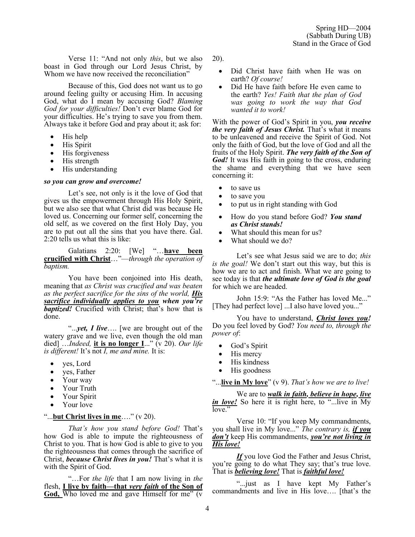Verse 11: "And not only *this*, but we also boast in God through our Lord Jesus Christ, by Whom we have now received the reconciliation"

Because of this, God does not want us to go around feeling guilty or accusing Him. In accusing God, what do I mean by accusing God? *Blaming God for your difficulties!* Don't ever blame God for your difficulties. He's trying to save you from them. Always take it before God and pray about it; ask for:

- His help
- His Spirit
- His forgiveness
- His strength
- His understanding

#### *so you can grow and overcome!*

Let's see, not only is it the love of God that gives us the empowerment through His Holy Spirit, but we also see that what Christ did was because He loved us. Concerning our former self, concerning the old self, as we covered on the first Holy Day, you are to put out all the sins that you have there. Gal. 2:20 tells us what this is like:

Galatians 2:20: [We] "…**have been crucified with Christ**…"—*through the operation of baptism.*

You have been conjoined into His death, meaning that *as Christ was crucified and was beaten as the perfect sacrifice for the sins of the world, His sacrifice individually applies to you when you're baptized!* Crucified with Christ; that's how that is done.

"...*yet, I live*…. [we are brought out of the watery grave and we live, even though the old man died] ...*Indeed*, it is no longer I..." (v 20). Our life *is different!* It's not *I, me and mine.* It is:

- yes, Lord
- yes, Father
- Your way
- Your Truth
- Your Spirit
- Your love

## "...**but Christ lives in me**…." (v 20).

*That's how you stand before God!* That's how God is able to impute the righteousness of Christ to you. That is how God is able to give to you the righteousness that comes through the sacrifice of Christ, *because Christ lives in you!* That's what it is with the Spirit of God.

"…For *the life* that I am now living in *the* flesh, **I live by faith—that** *very faith* **of the Son of God,** Who loved me and gave Himself for me" (v 20).

- Did Christ have faith when He was on earth? *Of course!*
- Did He have faith before He even came to the earth? *Yes! Faith that the plan of God was going to work the way that God wanted it to work!*

With the power of God's Spirit in you, *you receive the very faith of Jesus Christ.* That's what it means to be unleavened and receive the Spirit of God. Not only the faith of God, but the love of God and all the fruits of the Holy Spirit. *The very faith of the Son of God!* It was His faith in going to the cross, enduring the shame and everything that we have seen concerning it:

- to save us
- to save you
- to put us in right standing with God
- How do you stand before God? *You stand as Christ stands!*
- What should this mean for us?
- What should we do?

Let's see what Jesus said we are to do; *this is the goal!* We don't start out this way, but this is how we are to act and finish. What we are going to see today is that *the ultimate love of God is the goal* for which we are headed.

John 15:9: "As the Father has loved Me..." [They had perfect love] ...I also have loved you..."

You have to understand, *Christ loves you!* Do you feel loved by God? *You need to, through the power of*:

- God's Spirit
- His mercy
- His kindness
- His goodness

"...**live in My love**" (v 9). *That's how we are to live!*

We are to *walk in faith, believe in hope, live in love!* So here it is right here, to "...live in My love."

Verse 10: "If you keep My commandments, you shall live in My love..." *The contrary is, if you don't* keep His commandments, *you're not living in His love!*

*If* you love God the Father and Jesus Christ, you're going to do what They say; that's true love. That is *believing love!* That is *faithful love!*

"...just as I have kept My Father's commandments and live in His love…. [that's the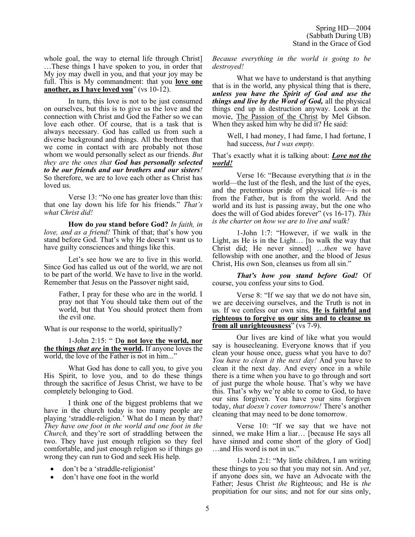whole goal, the way to eternal life through Christ] …These things I have spoken to you, in order that My joy may dwell in you, and that your joy may be full. This is My commandment: that you **love one another, as I have loved you**" (vs 10-12).

In turn, this love is not to be just consumed on ourselves, but this is to give us the love and the connection with Christ and God the Father so we can love each other. Of course, that is a task that is always necessary. God has called us from such a diverse background and things. All the brethren that we come in contact with are probably not those whom we would personally select as our friends. *But they are the ones that God has personally selected to be our friends and our brothers and our sisters!* So therefore, we are to love each other as Christ has loved us.

Verse 13: "No one has greater love than this: that one lay down his life for his friends." *That's what Christ did!* 

**How do** *you* **stand before God?** *In faith, in love, and as a friend!* Think of that; that's how you stand before God. That's why He doesn't want us to have guilty consciences and things like this.

Let's see how we are to live in this world. Since God has called us out of the world, we are not to be part of the world. We have to live in the world. Remember that Jesus on the Passover night said,

Father, I pray for these who are in the world. I pray not that You should take them out of the world, but that You should protect them from the evil one.

What is our response to the world, spiritually?

1-John 2:15: " D**o not love the world, nor the things** *that are* **in the world.** If anyone loves the world, the love of the Father is not in him..."

What God has done to call you, to give you His Spirit, to love you, and to do these things through the sacrifice of Jesus Christ, we have to be completely belonging to God.

I think one of the biggest problems that we have in the church today is too many people are playing 'straddle-religion.' What do I mean by that? *They have one foot in the world and one foot in the Church,* and they're sort of straddling between the two. They have just enough religion so they feel comfortable, and just enough religion so if things go wrong they can run to God and seek His help.

- don't be a 'straddle-religionist'
- don't have one foot in the world

*Because everything in the world is going to be destroyed!*

What we have to understand is that anything that is in the world, any physical thing that is there, *unless you have the Spirit of God and use the things and live by the Word of God,* all the physical things end up in destruction anyway. Look at the movie, The Passion of the Christ by Mel Gibson. When they asked him why he did it? He said:

Well, I had money, I had fame, I had fortune, I had success, *but I was empty.* 

That's exactly what it is talking about: *Love not the world!*

Verse 16: "Because everything that *is* in the world—the lust of the flesh, and the lust of the eyes, and the pretentious pride of physical life—is not from the Father, but is from the world. And the world and its lust is passing away, but the one who does the will of God abides forever" (vs 16-17). *This is the charter on how we are to live and walk!*

1-John 1:7: "However, if we walk in the Light, as He is in the Light… [to walk the way that Christ did; He never sinned] …*then* we have fellowship with one another, and the blood of Jesus Christ, His own Son, cleanses us from all sin."

*That's how you stand before God!* Of course, you confess your sins to God.

Verse 8: "If we say that we do not have sin, we are deceiving ourselves, and the Truth is not in us. If we confess our own sins, **He is faithful and righteous to forgive us our sins and to cleanse us from all unrighteousness**" (vs 7-9).

Our lives are kind of like what you would say is housecleaning. Everyone knows that if you clean your house once, guess what you have to do? *You have to clean it the next day!* And you have to clean it the next day. And every once in a while there is a time when you have to go through and sort of just purge the whole house. That's why we have this. That's why we're able to come to God, to have our sins forgiven. You have your sins forgiven today, *that doesn't cover tomorrow!* There's another cleaning that may need to be done tomorrow.

Verse 10: "If we say that we have not sinned, we make Him a liar… [because He says all have sinned and come short of the glory of God] …and His word is not in us."

1-John 2:1: "My little children, I am writing these things to you so that you may not sin. And *yet*, if anyone does sin, we have an Advocate with the Father; Jesus Christ *the* Righteous; and He is *the* propitiation for our sins; and not for our sins only,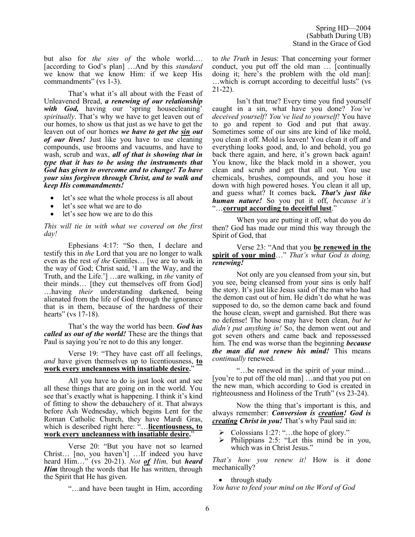but also for *the sins of* the whole world…. [according to God's plan] …And by this *standard* we know that we know Him: if we keep His commandments" (vs 1-3).

That's what it's all about with the Feast of Unleavened Bread, *a renewing of our relationship with God,* having our 'spring housecleaning' *spiritually*. That's why we have to get leaven out of our homes, to show us that just as we have to get the leaven out of our homes *we have to get the sin out of our lives!* Just like you have to use cleaning compounds, use brooms and vacuums, and have to wash, scrub and wax, *all of that is showing that in type that it has to be using the instruments that God has given to overcome and to change! To have your sins forgiven through Christ, and to walk and keep His commandments!*

- let's see what the whole process is all about
- let's see what we are to do
- let's see how we are to do this

*This will tie in with what we covered on the first day!* 

Ephesians 4:17: "So then, I declare and testify this in *the* Lord that you are no longer to walk even as the rest *of the* Gentiles… [we are to walk in the way of God; Christ said, 'I am the Way, and the Truth, and the Life.'] …are walking, in *the* vanity of their minds… [they cut themselves off from God] …having *their* understanding darkened, being alienated from the life of God through the ignorance that is in them, because of the hardness of their hearts" (vs 17-18).

That's the way the world has been. *God has called us out of the world!* These are the things that Paul is saying you're not to do this any longer.

Verse 19: "They have cast off all feelings, *and* have given themselves up to licentiousness, **to work every uncleanness with insatiable desire.**"

All you have to do is just look out and see all these things that are going on in the world. You see that's exactly what is happening. I think it's kind of fitting to show the debauchery of it. That always before Ash Wednesday, which begins Lent for the Roman Catholic Church, they have Mardi Gras, which is described right here: "…**licentiousness, to work every uncleanness with insatiable desire.**"

Verse 20: "But you have not so learned Christ… [no, you haven't] …If indeed you have heard Him…" (vs 20-21). *Not of Him,* but *heard Him* through the words that He has written, through the Spirit that He has given.

"…and have been taught in Him, according

to *the Truth* in Jesus: That concerning your former conduct, you put off the old man … [continually doing it; here's the problem with the old man]: …which is corrupt according to deceitful lusts" (vs 21-22).

Isn't that true? Every time you find yourself caught in a sin, what have you done? *You've deceived yourself! You've lied to yourself!* You have to go and repent to God and put that away. Sometimes some of our sins are kind of like mold, you clean it off. Mold is leaven! You clean it off and everything looks good, and, lo and behold, you go back there again, and here, it's grown back again! You know, like the black mold in a shower, you clean and scrub and get that all out. You use chemicals, brushes, compounds, and you hose it down with high powered hoses. You clean it all up, and guess what? It comes back*. That's just like human nature!* So you put it off, *because it's* "…**corrupt according to deceitful lust**."

When you are putting it off, what do you do then? God has made our mind this way through the Spirit of God, that

## Verse 23: "And that you **be renewed in the spirit of your mind**…" *That's what God is doing, renewing!*

Not only are you cleansed from your sin, but you see, being cleansed from your sins is only half the story. It's just like Jesus said of the man who had the demon cast out of him. He didn't do what he was supposed to do, so the demon came back and found the house clean, swept and garnished. But there was no defense! The house may have been clean, *but he didn't put anything in!* So, the demon went out and got seven others and came back and repossessed him. The end was worse than the beginning *because the man did not renew his mind!* This means *continually* renewed.

"…be renewed in the spirit of your mind… [you're to put off the old man] …and that you put on the new man, which according to God is created in righteousness and Holiness of the Truth" (vs 23-24).

Now the thing that's important is this, and always remember: *Conversion is creation! God is creating Christ in you!* That's why Paul said in:

- ➢ Colossians 1:27: "…the hope of glory."
- ➢ Philippians 2:5: "Let this mind be in you, which was in Christ Jesus."

*That's how you renew it!* How is it done mechanically?

• through study *You have to feed your mind on the Word of God*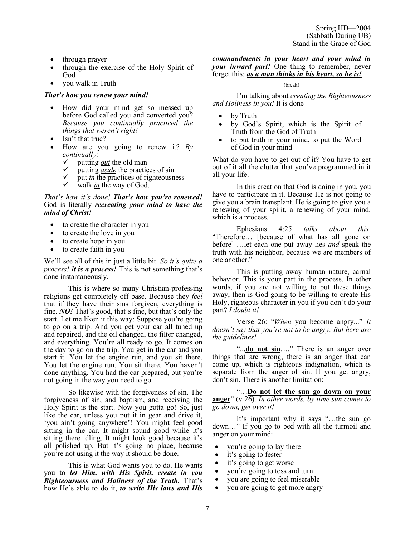- through prayer
- through the exercise of the Holy Spirit of God
- you walk in Truth

## *That's how you renew your mind!*

- How did your mind get so messed up before God called you and converted you? *Because you continually practiced the things that weren't right!*
- Isn't that true?
- How are you going to renew it? *By continually*:
	- $\checkmark$  putting *out* the old man
	- ✓ putting *aside* the practices of sin
	- $\checkmark$  put *in* the practices of righteousness
	- walk *in* the way of God.

## *That's how it's done! That's how you're renewed!*  God is literally *recreating your mind to have the mind of Christ!*

- to create the character in you
- to create the love in you
- to create hope in you
- to create faith in you

We'll see all of this in just a little bit. *So it's quite a process! It is a process!* This is not something that's done instantaneously.

This is where so many Christian-professing religions get completely off base. Because they *feel* that if they have their sins forgiven, everything is fine. *NO!* That's good, that's fine, but that's only the start. Let me liken it this way: Suppose you're going to go on a trip. And you get your car all tuned up and repaired, and the oil changed, the filter changed, and everything. You're all ready to go. It comes on the day to go on the trip. You get in the car and you start it. You let the engine run, and you sit there. You let the engine run. You sit there. You haven't done anything. You had the car prepared, but you're not going in the way you need to go.

So likewise with the forgiveness of sin. The forgiveness of sin, and baptism, and receiving the Holy Spirit is the start. Now you gotta go! So, just like the car, unless you put it in gear and drive it, 'you ain't going anywhere'! You might feel good sitting in the car. It might sound good while it's sitting there idling. It might look good because it's all polished up. But it's going no place, because you're not using it the way it should be done.

This is what God wants you to do. He wants you to *let Him, with His Spirit, create in you Righteousness and Holiness of the Truth.* That's how He's able to do it, *to write His laws and His* 

## *commandments in your heart and your mind in your inward part!* One thing to remember, never forget this: *as a man thinks in his heart, so he is!*

#### (break)

I'm talking about *creating the Righteousness and Holiness in you!* It is done

- by Truth
- by God's Spirit, which is the Spirit of Truth from the God of Truth
- to put truth in your mind, to put the Word of God in your mind

What do you have to get out of it? You have to get out of it all the clutter that you've programmed in it all your life.

In this creation that God is doing in you, you have to participate in it. Because He is not going to give you a brain transplant. He is going to give you a renewing of your spirit, a renewing of your mind, which is a process.

Ephesians 4:25 *talks about this*: "Therefore… [because of what has all gone on before] …let each one put away lies *and* speak the truth with his neighbor, because we are members of one another."

This is putting away human nature, carnal behavior. This is your part in the process. In other words, if you are not willing to put these things away, then is God going to be willing to create His Holy, righteous character in you if you don't do your part? *I doubt it!*

Verse 26: "*When* you become angry..." *It doesn't say that you're not to be angry. But here are the guidelines!* 

"...**do not sin**...." There is an anger over things that are wrong, there is an anger that can come up, which is righteous indignation, which is separate from the anger of sin. If you get angry, don't sin. There is another limitation:

"…**Do not let the sun go down on your anger**" (v 26). *In other words, by time sun comes to go down, get over it!* 

It's important why it says "…the sun go down…" If you go to bed with all the turmoil and anger on your mind:

- you're going to lay there
- it's going to fester
- it's going to get worse
- you're going to toss and turn
- you are going to feel miserable
- you are going to get more angry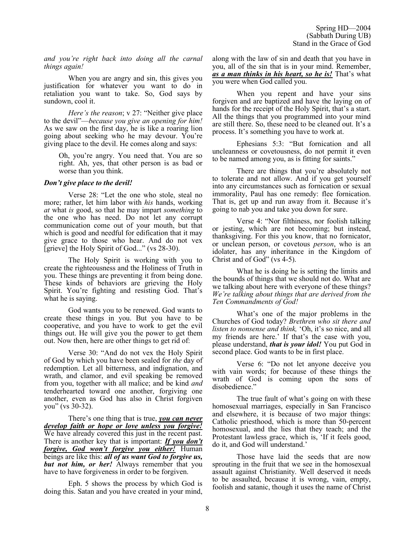*and you're right back into doing all the carnal things again!*

When you are angry and sin, this gives you justification for whatever you want to do in retaliation you want to take. So, God says by sundown, cool it.

*Here's the reason*; v 27: "Neither give place to the devil"—*because you give an opening for him!* As we saw on the first day, he is like a roaring lion going about seeking who he may devour. You're giving place to the devil. He comes along and says:

Oh, you're angry. You need that. You are so right. Ah, yes, that other person is as bad or worse than you think.

#### *Don't give place to the devil!*

Verse 28: "Let the one who stole, steal no more; rather, let him labor with *his* hands, working *at* what *is* good, so that he may impart *something* to the one who has need. Do not let any corrupt communication come out of your mouth, but that which is good and needful for edification that it may give grace to those who hear. And do not vex [grieve] the Holy Spirit of God..." (vs 28-30).

The Holy Spirit is working with you to create the righteousness and the Holiness of Truth in you. These things are preventing it from being done. These kinds of behaviors are grieving the Holy Spirit. You're fighting and resisting God. That's what he is saying.

God wants you to be renewed. God wants to create these things in you. But you have to be cooperative, and you have to work to get the evil things out. He will give you the power to get them out. Now then, here are other things to get rid of:

Verse 30: "And do not vex the Holy Spirit of God by which you have been sealed for *the* day of redemption. Let all bitterness, and indignation, and wrath, and clamor, and evil speaking be removed from you, together with all malice; and be kind *and* tenderhearted toward one another, forgiving one another, even as God has also in Christ forgiven you" (vs 30-32).

There's one thing that is true, *you can never develop faith or hope or love unless you forgive!* We have already covered this just in the recent past. There is another key that is important: *If you don't forgive, God won't forgive you either!* Human beings are like this: *all of us want God to forgive us, but not him, or her!* Always remember that you have to have forgiveness in order to be forgiven.

Eph. 5 shows the process by which God is doing this. Satan and you have created in your mind,

along with the law of sin and death that you have in you, all of the sin that is in your mind. Remember, *as a man thinks in his heart, so he is!* That's what you were when God called you.

When you repent and have your sins forgiven and are baptized and have the laying on of hands for the receipt of the Holy Spirit, that's a start. All the things that you programmed into your mind are still there. So, these need to be cleaned out. It's a process. It's something you have to work at.

Ephesians 5:3: "But fornication and all uncleanness or covetousness, do not permit it even to be named among you, as is fitting for saints."

There are things that you're absolutely not to tolerate and not allow. And if you get yourself into any circumstances such as fornication or sexual immorality, Paul has one remedy: flee fornication. That is, get up and run away from it. Because it's going to nab you and take you down for sure.

Verse 4: "Nor filthiness, nor foolish talking or jesting, which are not becoming; but instead, thanksgiving. For this you know, that no fornicator, or unclean person, or covetous *person*, who is an idolater, has any inheritance in the Kingdom of Christ and of God" (vs 4-5).

What he is doing he is setting the limits and the bounds of things that we should not do. What are we talking about here with everyone of these things? *We're talking about things that are derived from the Ten Commandments of God!*

What's one of the major problems in the Churches of God today? *Brethren who sit there and listen to nonsense and think,* 'Oh, it's so nice, and all my friends are here.' If that's the case with you, please understand, *that is your idol!* You put God in second place. God wants to be in first place.

Verse 6: "Do not let anyone deceive you with vain words; for because of these things the wrath of God is coming upon the sons of disobedience."

The true fault of what's going on with these homosexual marriages, especially in San Francisco and elsewhere, it is because of two major things: Catholic priesthood, which is more than 50-percent homosexual, and the lies that they teach; and the Protestant lawless grace, which is, 'If it feels good, do it, and God will understand.'

Those have laid the seeds that are now sprouting in the fruit that we see in the homosexual assault against Christianity. Well deserved it needs to be assaulted, because it is wrong, vain, empty, foolish and satanic, though it uses the name of Christ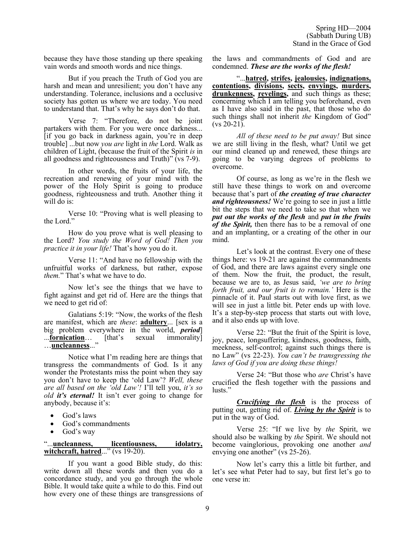because they have those standing up there speaking vain words and smooth words and nice things.

But if you preach the Truth of God you are harsh and mean and unresilient; you don't have any understanding. Tolerance, inclusions and a occlusive society has gotten us where we are today. You need to understand that. That's why he says don't do that.

Verse 7: "Therefore, do not be joint partakers with them. For you were once darkness... [if you go back in darkness again, you're in deep trouble] ...but now *you are* light in *the* Lord. Walk as children of Light, (because the fruit of the Spirit *is* in all goodness and righteousness and Truth)" (vs 7-9).

In other words, the fruits of your life, the recreation and renewing of your mind with the power of the Holy Spirit is going to produce goodness, righteousness and truth. Another thing it will do is:

Verse 10: "Proving what is well pleasing to the Lord."

How do you prove what is well pleasing to the Lord? *You study the Word of God! Then you practice it in your life!* That's how you do it.

Verse 11: "And have no fellowship with the unfruitful works of darkness, but rather, expose *them.*" That's what we have to do.

Now let's see the things that we have to fight against and get rid of. Here are the things that we need to get rid of:

Galatians 5:19: "Now, the works of the flesh are manifest, which are *these*: **adultery**... [sex is a big problem everywhere in the world, *period*] ...**fornication**… [that's sexual immorality] …**uncleanness**..."

Notice what I'm reading here are things that transgress the commandments of God. Is it any wonder the Protestants miss the point when they say you don't have to keep the 'old Law'? *Well, these are all based on the 'old Law'!* I'll tell you, *it's so old it's eternal!* It isn't ever going to change for anybody, because it's:

- God's laws
- God's commandments
- God's way

"...**uncleanness, licentiousness, idolatry, witchcraft, hatred**..." (vs 19-20).

If you want a good Bible study, do this: write down all these words and then you do a concordance study, and you go through the whole Bible. It would take quite a while to do this. Find out how every one of these things are transgressions of the laws and commandments of God and are condemned. *These are the works of the flesh!*

"...**hatred, strifes, jealousies, indignations, contentions, divisions, sects, envyings, murders, drunkenness, revelings,** and such things as these; concerning which I am telling you beforehand, even as I have also said in the past, that those who do such things shall not inherit *the* Kingdom of God"  $(vs 20-21)$ .

*All of these need to be put away!* But since we are still living in the flesh, what? Until we get our mind cleaned up and renewed, these things are going to be varying degrees of problems to overcome.

Of course, as long as we're in the flesh we still have these things to work on and overcome because that's part of *the creating of true character and righteousness!* We're going to see in just a little bit the steps that we need to take so that when we *put out the works of the flesh* and *put in the fruits of the Spirit,* then there has to be a removal of one and an implanting, or a creating of the other in our mind.

Let's look at the contrast. Every one of these things here: vs 19-21 are against the commandments of God, and there are laws against every single one of them. Now the fruit, the product, the result, because we are to, as Jesus said, *'we are to bring forth fruit, and our fruit is to remain.'* Here is the pinnacle of it. Paul starts out with love first, as we will see in just a little bit. Peter ends up with love. It's a step-by-step process that starts out with love, and it also ends up with love.

Verse 22: "But the fruit of the Spirit is love, joy, peace, longsuffering, kindness, goodness, faith, meekness, self-control; against such things there is no Law" (vs 22-23). *You can't be transgressing the laws of God if you are doing these things!*

Verse 24: "But those who *are* Christ's have crucified the flesh together with the passions and lusts."

*Crucifying the flesh* is the process of putting out, getting rid of. *Living by the Spirit* is to put in the way of God.

Verse 25: "If we live by *the* Spirit, we should also be walking by *the* Spirit. We should not become vainglorious, provoking one another *and* envying one another" (vs 25-26).

Now let's carry this a little bit further, and let's see what Peter had to say, but first let's go to one verse in: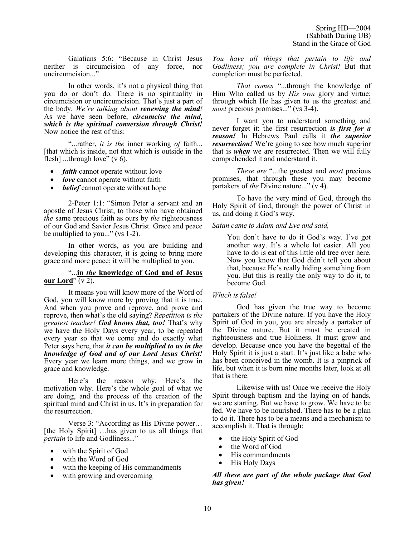Galatians 5:6: "Because in Christ Jesus neither is circumcision of any force, nor uncircumcision..."

In other words, it's not a physical thing that you do or don't do. There is no spirituality in circumcision or uncircumcision. That's just a part of the body. *We're talking about renewing the mind!* As we have seen before, *circumcise the mind, which is the spiritual conversion through Christ!* Now notice the rest of this:

"...rather, *it is the* inner working *of* faith... [that which is inside, not that which is outside in the flesh] ...through love"  $(v 6)$ .

- *faith* cannot operate without love
- *love* cannot operate without faith
- *belief* cannot operate without hope

2-Peter 1:1: "Simon Peter a servant and an apostle of Jesus Christ, to those who have obtained *the* same precious faith as ours by *the* righteousness of our God and Savior Jesus Christ. Grace and peace be multiplied to you..." (vs 1-2).

In other words, as you are building and developing this character, it is going to bring more grace and more peace; it will be multiplied to you.

#### "...**in** *the* **knowledge of God and of Jesus our Lord**" (v 2).

It means you will know more of the Word of God, you will know more by proving that it is true. And when you prove and reprove, and prove and reprove, then what's the old saying? *Repetition is the greatest teacher! God knows that, too!* That's why we have the Holy Days every year, to be repeated every year so that we come and do exactly what Peter says here, that *it can be multiplied to us in the knowledge of God and of our Lord Jesus Christ!* Every year we learn more things, and we grow in grace and knowledge.

Here's the reason why. Here's the motivation why. Here's the whole goal of what we are doing, and the process of the creation of the spiritual mind and Christ in us. It's in preparation for the resurrection.

Verse 3: "According as His Divine power… [the Holy Spirit] …has given to us all things that *pertain* to life and Godliness..."

- with the Spirit of God
- with the Word of God
- with the keeping of His commandments
- with growing and overcoming

*You have all things that pertain to life and Godliness; you are complete in Christ!* But that completion must be perfected.

*That comes* "...through the knowledge of Him Who called us by *His own* glory and virtue; through which He has given to us the greatest and *most* precious promises..." (vs 3-4).

I want you to understand something and never forget it: the first resurrection *is first for a reason!* In Hebrews Paul calls it *the superior resurrection!* We're going to see how much superior that is *when* we are resurrected. Then we will fully comprehended it and understand it.

*These are* "...the greatest and *most* precious promises, that through these you may become partakers of *the* Divine nature..." (v 4).

To have the very mind of God, through the Holy Spirit of God, through the power of Christ in us, and doing it God's way.

#### *Satan came to Adam and Eve and said,*

You don't have to do it God's way. I've got another way. It's a whole lot easier. All you have to do is eat of this little old tree over here. Now you know that God didn't tell you about that, because He's really hiding something from you. But this is really the only way to do it, to become God.

#### *Which is false!*

God has given the true way to become partakers of the Divine nature. If you have the Holy Spirit of God in you, you are already a partaker of the Divine nature. But it must be created in righteousness and true Holiness. It must grow and develop. Because once you have the begettal of the Holy Spirit it is just a start. It's just like a babe who has been conceived in the womb. It is a pinprick of life, but when it is born nine months later, look at all that is there.

Likewise with us! Once we receive the Holy Spirit through baptism and the laying on of hands, we are starting. But we have to grow. We have to be fed. We have to be nourished. There has to be a plan to do it. There has to be a means and a mechanism to accomplish it. That is through:

- the Holy Spirit of God
- the Word of God
- His commandments
- His Holy Days

*All these are part of the whole package that God has given!*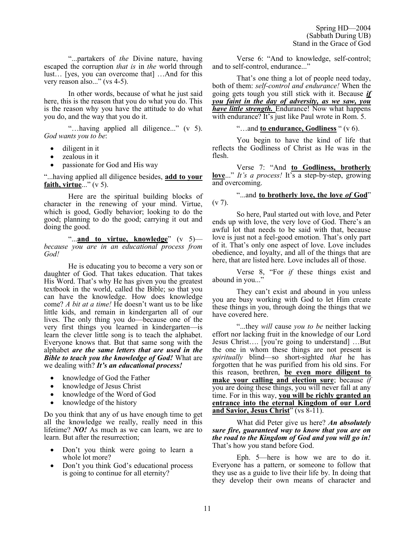"...partakers of *the* Divine nature, having escaped the corruption *that is* in *the* world through lust… [yes, you can overcome that] …And for this very reason also..." (vs 4-5).

In other words, because of what he just said here, this is the reason that you do what you do. This is the reason why you have the attitude to do what you do, and the way that you do it.

"…having applied all diligence..." (v 5). *God wants you to be*:

- diligent in it
- zealous in it
- passionate for God and His way

"...having applied all diligence besides, **add to your faith, virtue**..." (v 5).

Here are the spiritual building blocks of character in the renewing of your mind. Virtue, which is good, Godly behavior; looking to do the good; planning to do the good; carrying it out and doing the good.

"...**and to virtue, knowledge**" (v 5) *because you are in an educational process from God!*

He is educating you to become a very son or daughter of God. That takes education. That takes His Word. That's why He has given you the greatest textbook in the world, called the Bible; so that you can have the knowledge. How does knowledge come? *A bit at a time!* He doesn't want us to be like little kids, and remain in kindergarten all of our lives. The only thing you do—because one of the very first things you learned in kindergarten—is learn the clever little song is to teach the alphabet. Everyone knows that. But that same song with the alphabet *are the same letters that are used in the Bible to teach you the knowledge of God!* What are we dealing with? *It's an educational process!*

- knowledge of God the Father
- knowledge of Jesus Christ
- knowledge of the Word of God
- knowledge of the history

Do you think that any of us have enough time to get all the knowledge we really, really need in this lifetime? *NO!* As much as we can learn, we are to learn. But after the resurrection;

- Don't you think were going to learn a whole lot more?
- Don't you think God's educational process is going to continue for all eternity?

Verse 6: "And to knowledge, self-control; and to self-control, endurance..."

That's one thing a lot of people need today, both of them: *self-control and endurance!* When the going gets tough you still stick with it. Because *if you faint in the day of adversity, as we saw, you have little strength.* Endurance! Now what happens with endurance? It's just like Paul wrote in Rom. 5.

"…and **to endurance, Godliness** " (v 6).

You begin to have the kind of life that reflects the Godliness of Christ as He was in the flesh.

Verse 7: "And **to Godliness, brotherly love**..." *It's a process!* It's a step-by-step, growing and overcoming.

"...and **to brotherly love, the love** *of* **God**"  $(v 7)$ .

So here, Paul started out with love, and Peter ends up with love, the very love of God. There's an awful lot that needs to be said with that, because love is just not a feel-good emotion. That's only part of it. That's only one aspect of love. Love includes obedience, and loyalty, and all of the things that are here, that are listed here. Love includes all of those.

Verse 8, "For *if* these things exist and abound in you..."

They can't exist and abound in you unless you are busy working with God to let Him create these things in you, through doing the things that we have covered here.

"...they *will* cause *you to be* neither lacking effort nor lacking fruit in the knowledge of our Lord Jesus Christ…. [you're going to understand] …But the one in whom these things are not present is *spiritually* blind—so short-sighted *that* he has forgotten that he was purified from his old sins. For this reason, brethren, **be even more diligent to make your calling and election sure**; because *if* you are doing these things, you will never fall at any time. For in this way, **you will be richly granted an entrance into the eternal Kingdom of our Lord and Savior, Jesus Christ**" (vs 8-11).

What did Peter give us here? *An absolutely sure fire, guaranteed way to know that you are on the road to the Kingdom of God and you will go in!* That's how you stand before God.

Eph. 5—here is how we are to do it. Everyone has a pattern, or someone to follow that they use as a guide to live their life by. In doing that they develop their own means of character and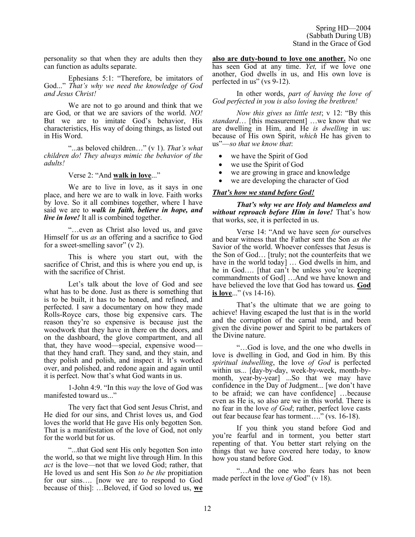personality so that when they are adults then they can function as adults separate.

Ephesians 5:1: "Therefore, be imitators of God..." *That's why we need the knowledge of God and Jesus Christ!*

We are not to go around and think that we are God, or that we are saviors of the world. *NO!* But we are to imitate God's behavior, His characteristics, His way of doing things, as listed out in His Word.

"...as beloved children…" (v 1). *That's what children do! They always mimic the behavior of the adults!*

Verse 2: "And **walk in love**..."

We are to live in love, as it says in one place, and here we are to walk in love. Faith works by love. So it all combines together, where I have said we are to *walk in faith, believe in hope, and live in love!* It all is combined together.

"…even as Christ also loved us, and gave Himself for us *as* an offering and a sacrifice to God for a sweet-smelling savor"  $(v 2)$ .

This is where you start out, with the sacrifice of Christ, and this is where you end up, is with the sacrifice of Christ.

Let's talk about the love of God and see what has to be done. Just as there is something that is to be built, it has to be honed, and refined, and perfected. I saw a documentary on how they made Rolls-Royce cars, those big expensive cars. The reason they're so expensive is because just the woodwork that they have in there on the doors, and on the dashboard, the glove compartment, and all that, they have wood—special, expensive wood that they hand craft. They sand, and they stain, and they polish and polish, and inspect it. It's worked over, and polished, and redone again and again until it is perfect. Now that's what God wants in us.

1-John 4:9. "In this *way* the love of God was manifested toward us..."

The very fact that God sent Jesus Christ, and He died for our sins, and Christ loves us, and God loves the world that He gave His only begotten Son. That is a manifestation of the love of God, not only for the world but for us.

"...that God sent His only begotten Son into the world, so that we might live through Him. In this *act* is the love—not that we loved God; rather, that He loved us and sent His Son *to be the* propitiation for our sins…. [now we are to respond to God because of this]: …Beloved, if God so loved us, **we**  **also are duty-bound to love one another.** No one has seen God at any time. *Yet,* if we love one another, God dwells in us, and His own love is perfected in us" (vs 9-12).

In other words, *part of having the love of God perfected in you is also loving the brethren!*

*Now this gives us little test*; v 12: "By this *standard*… [this measurement] …we know that we are dwelling in Him, and He *is dwelling* in us: because of His own Spirit, *which* He has given to us"—*so that we know that*:

- we have the Spirit of God
- we use the Spirit of God
- we are growing in grace and knowledge
- we are developing the character of God

## *That's how we stand before God!*

*That's why we are Holy and blameless and without reproach before Him in love!* That's how that works, see, it is perfected in us.

Verse 14: "And we have seen *for* ourselves and bear witness that the Father sent the Son *as the* Savior of the world. Whoever confesses that Jesus is the Son of God… [truly; not the counterfeits that we have in the world today] ... God dwells in him, and he in God…. [that can't be unless you're keeping commandments of God] …And we have known and have believed the love that God has toward us. **God is love**..." (vs 14-16).

That's the ultimate that we are going to achieve! Having escaped the lust that is in the world and the corruption of the carnal mind, and been given the divine power and Spirit to be partakers of the Divine nature.

"…God is love, and the one who dwells in love is dwelling in God, and God in him. By this *spiritual indwelling*, the love *of God* is perfected within us... [day-by-day, week-by-week, month-bymonth, year-by-year] ...So that we may have confidence in the Day of Judgment... [we don't have to be afraid; we can have confidence] …because even as He is, so also are we in this world. There is no fear in the love *of God*; rather, perfect love casts out fear because fear has torment…." (vs. 16-18).

If you think you stand before God and you're fearful and in torment, you better start repenting of that. You better start relying on the things that we have covered here today, to know how you stand before God.

"…And the one who fears has not been made perfect in the love *of* God" (v 18).